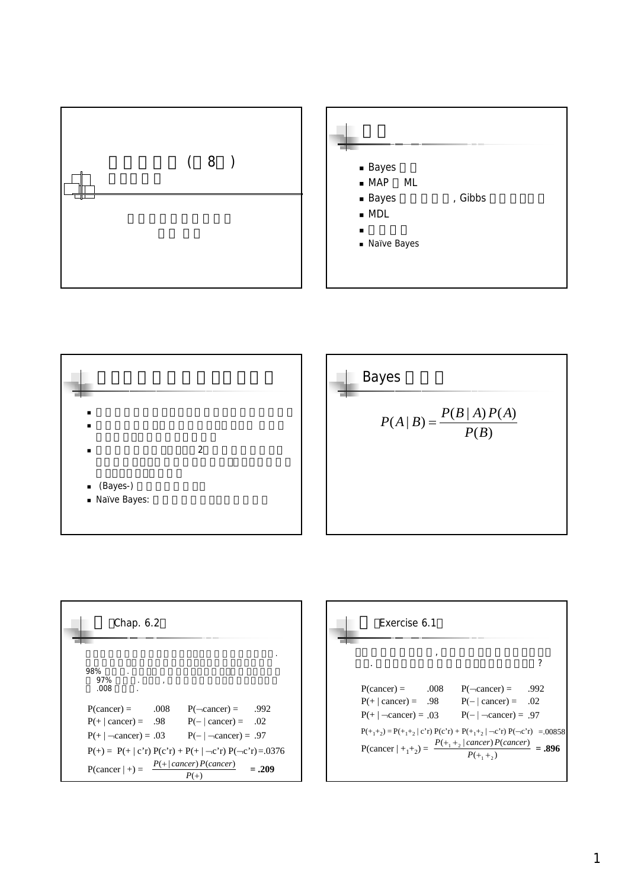



| Chap. 6.2                                        |              |                                                                                                                  |         |
|--------------------------------------------------|--------------|------------------------------------------------------------------------------------------------------------------|---------|
| 98%<br>97%<br>.008                               | $\mathbf{r}$ |                                                                                                                  |         |
| $P(cancer) =$<br>$P(+ \mid \text{cancer}) = .98$ | .008         | $P(\neg \text{cancer}) = 992$<br>$P(- cancer) = .02$                                                             |         |
|                                                  |              | $P(+ \mid -cancer) = .03$ $P(- \mid -cancer) = .97$<br>$P(+) = P(+   c'r) P(c'r) + P(+   -c'r) P(-c'r) = 0.0376$ |         |
| $P(cancer   +) =$                                |              | $P(+ cancer)P(cancer)$                                                                                           | $=.209$ |

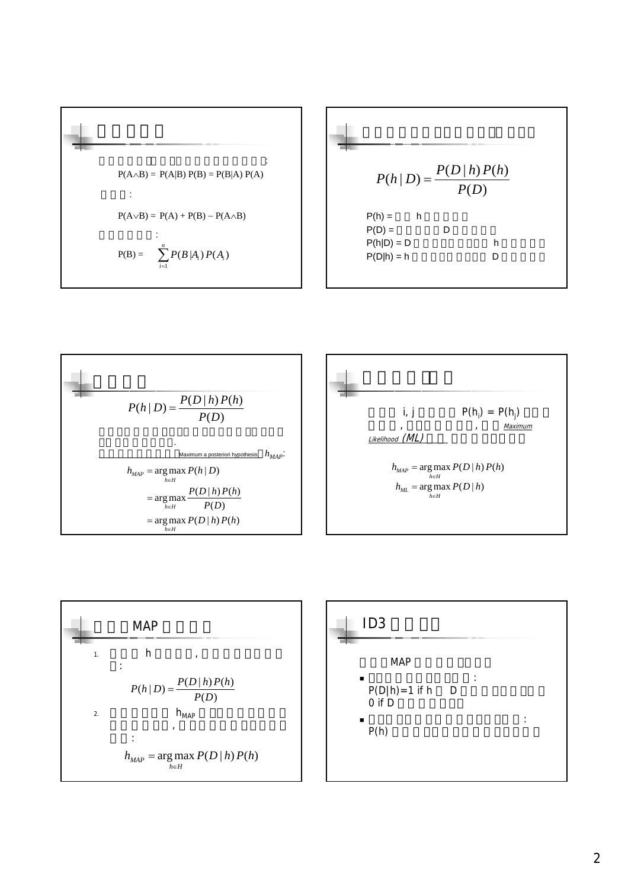$$
P(A \wedge B) = P(A|B) P(B) = P(B|A) P(A)
$$
\n
$$
\vdots
$$
\n
$$
P(A \vee B) = P(A) + P(B) - P(A \wedge B)
$$
\n
$$
\vdots
$$
\n
$$
P(B) = \begin{cases}\nP(B) = 0 \\
P(B) = 0 \\
P(B) = 0 \\
P(B) = 0 \\
P(B) = 0 \\
P(B) = 0 \\
P(B) = 0 \\
P(B) = 0 \\
P(B) = 0 \\
P(B) = 0 \\
P(B) = 0 \\
P(B) = 0 \\
P(B) = 0 \\
P(B) = 0 \\
P(B) = 0 \\
P(B) = 0 \\
P(B) = 0 \\
P(B) = 0 \\
P(B) = 0 \\
P(B) = 0 \\
P(B) = 0 \\
P(B) = 0 \\
P(B) = 0 \\
P(B) = 0 \\
P(B) = 0 \\
P(B) = 0 \\
P(B) = 0 \\
P(B) = 0 \\
P(B) = 0 \\
P(B) = 0 \\
P(B) = 0 \\
P(B) = 0 \\
P(B) = 0 \\
P(B) = 0 \\
P(B) = 0 \\
P(B) = 0 \\
P(B) = 0 \\
P(B) = 0 \\
P(B) = 0 \\
P(B) = 0 \\
P(B) = 0 \\
P(B) = 0 \\
P(B) = 0 \\
P(B) = 0 \\
P(B) = 0 \\
P(B) = 0 \\
P(B) = 0 \\
P(B) = 0 \\
P(B) = 0 \\
P(B) = 0 \\
P(B) = 0 \\
P(B) = 0 \\
P(B) = 0 \\
P(B) = 0 \\
P(B) = 0 \\
P(B) = 0 \\
P(B) = 0 \\
P(B) = 0 \\
P(B) = 0 \\
P(B) = 0 \\
P(B) = 0 \\
P(B) = 0 \\
P(B) = 0 \\
P(B) = 0 \\
P(B) = 0 \\
P(B) = 0 \\
P(B) = 0 \\
P(B) = 0 \\
P(B) = 0 \\
P(B) = 0 \\
P(B) = 0 \\
P(B) = 0 \\
P(B) = 0 \\
P(B) = 0 \\
P(B) = 0 \\
P(B) = 0 \\
P(B) = 0 \\
P(B) = 0 \\
P(B) = 0 \\
P(B) = 0 \\
P(B) = 0 \\
P(B) = 0 \\
P(B) = 0 \\
P(B) = 0 \\
P(B) = 0 \\
P(B) = 0 \\
P(B) = 0 \\
P(B) = 0 \\
P(B) = 0 \\
P(B) = 0 \\
P(B) = 0 \\
P(B) = 0 \\
P(B) = 0 \\
P(B) = 0 \\
P(B
$$







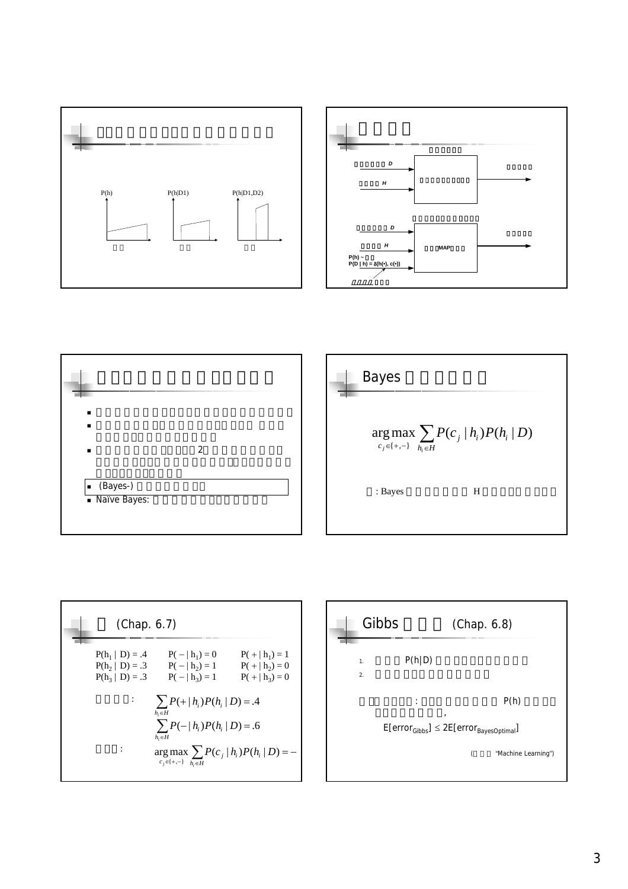









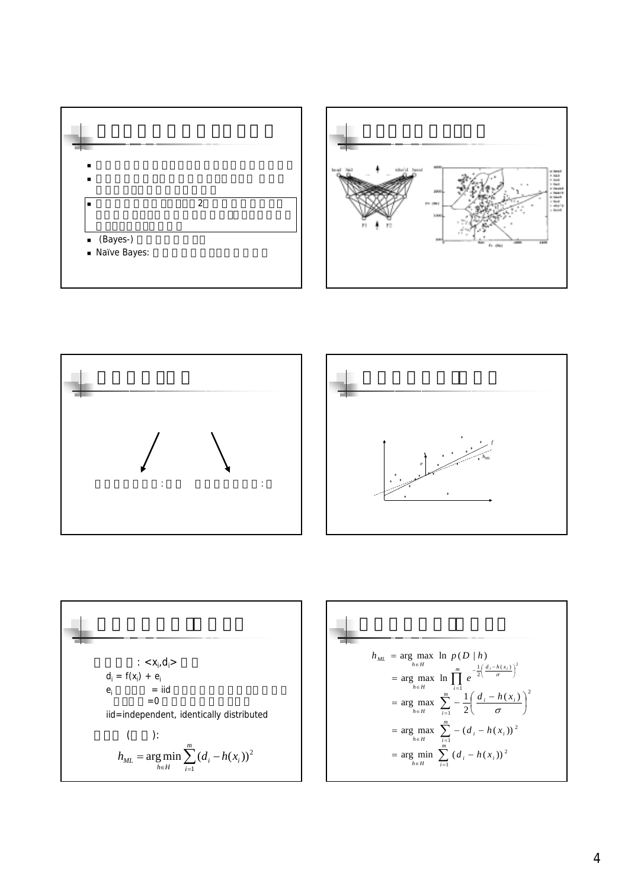







$$
\begin{aligned}\n&\begin{aligned}\n&\begin{aligned}\n&\begin{aligned}\n&\begin{aligned}\n&\begin{aligned}\n&\begin{aligned}\n&\begin{aligned}\n&\begin{aligned}\n&\begin{aligned}\n&\begin{aligned}\n&\begin{aligned}\n&\begin{aligned}\n&\begin{aligned}\n&\begin{aligned}\n&\begin{aligned}\n&\end{aligned}\n\end{aligned}\n\end{aligned}\n\end{aligned}\n\end{aligned}\n\end{aligned}\n\end{aligned}\n\end{aligned}\n\end{aligned}\n\end{aligned}\n\end{aligned}\n\end{aligned}\n\end{aligned}\n\end{aligned}\n\end{aligned}\n\text{dot}\n\begin{aligned}\n&\begin{aligned}\n&\begin{aligned}\n&\begin{aligned}\n&\begin{aligned}\n&\begin{aligned}\n&\begin{aligned}\n&\begin{aligned}\n&\begin{aligned}\n&\begin{aligned}\n&\begin{aligned}\n&\begin{aligned}\n&\begin{aligned}\n&\begin{aligned}\n&\begin{aligned}\n&\begin{aligned}\n&\begin{aligned}\n&\begin{aligned}\n&\begin{aligned}\n&\begin{aligned}\n&\begin{aligned}\n&\begin{aligned}\n&\begin{aligned}\n&\begin{aligned}\n&\begin{aligned}\n&\begin{aligned}\n&\begin{aligned}\n&\begin{aligned}\n&\begin{aligned}\n&\begin{aligned}\n&\begin{aligned}\n&\begin{aligned}\n&\begin{aligned}\n&\begin{aligned}\n&\begin{aligned}\n&\begin{aligned}\n&\begin{aligned}\n&\begin{aligned}\n&\begin{aligned}\n&\begin{aligned}\n&\begin{aligned}\n&\begin{aligned}\n&\begin{aligned}\n&\begin{aligned}\n&\begin{aligned}\n&\end{aligned}\n&\end{aligned}\n&\end{aligned}\n\end{aligned}\n\end{aligned}\n\end{aligned}\n\end{aligned}\n\end{aligned}\n\end{aligned}\n\end{aligned}\n\end{aligned}\n\end{aligned}\n\end{aligned}\n\end{aligned}\n\end{aligned}\n\end{aligned}\n\text{dot}\n\begin{aligned}\n&\begin{aligned}\n&\begin{aligned}\n&\begin{aligned}\n&\begin{aligned}\n&\begin{aligned}\n&\begin{aligned}\n&\begin{aligned}\n&\begin{aligned}\n&\begin{aligned}\n&\begin{aligned}\n&\begin{aligned}\n&\begin{aligned}\n&\begin{aligned}\n&\begin{aligned}\n&\begin{aligned}\n&\begin{aligned}\n&\begin{aligned}\n&\begin{aligned}\n&
$$

$$
h_{ML} = \arg \max_{h \in H} \ln p(D|h)
$$
  
=  $\arg \max_{h \in H} \ln \prod_{i=1}^{m} e^{-\frac{1}{2} \left( \frac{d_i - h(x_i)}{\sigma} \right)^2}$   
=  $\arg \max_{h \in H} \sum_{i=1}^{m} -\frac{1}{2} \left( \frac{d_i - h(x_i)}{\sigma} \right)^2$   
=  $\arg \max_{h \in H} \sum_{i=1}^{m} -(d_i - h(x_i))^2$   
=  $\arg \min_{h \in H} \sum_{i=1}^{m} (d_i - h(x_i))^2$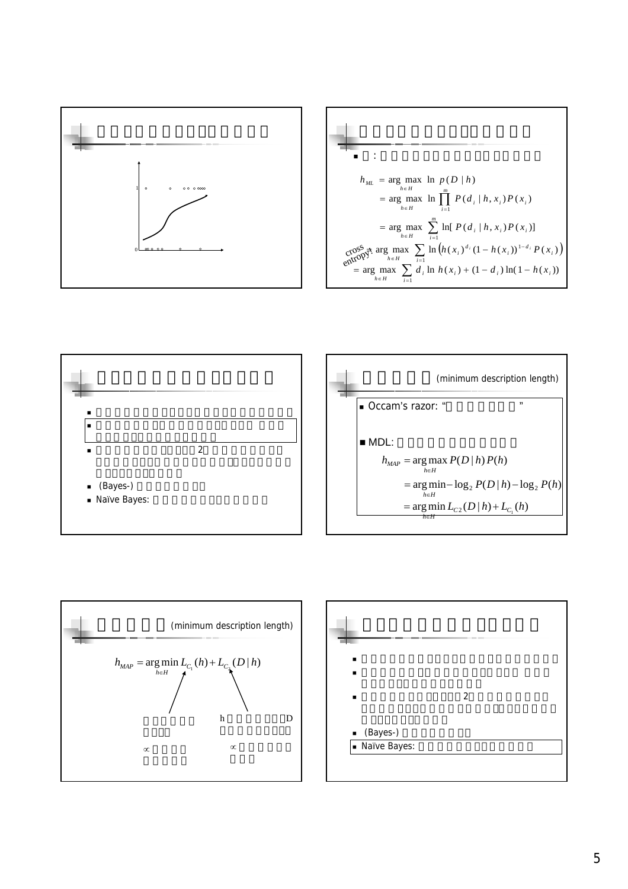

$$
h_{ML} = \arg \max_{h \in H} \ln p(D|h)
$$
  
\n
$$
= \arg \max_{h \in H} \ln \prod_{i=1}^{m} P(d_i | h, x_i) P(x_i)
$$
  
\n
$$
= \arg \max_{h \in H} \sum_{i=1}^{m} \ln [P(d_i | h, x_i) P(x_i)]
$$
  
\n
$$
\cos^{\text{SS}}_{\text{QCD}} \pi^{\text{S}} \arg \max_{h \in H} \sum_{i=1}^{m} \ln (h(x_i)^{d_i} (1 - h(x_i))^{1 - d_i} P(x_i))
$$
  
\n
$$
= \arg \max_{h \in H} \sum_{i=1}^{m} d_i \ln h(x_i) + (1 - d_i) \ln(1 - h(x_i))
$$





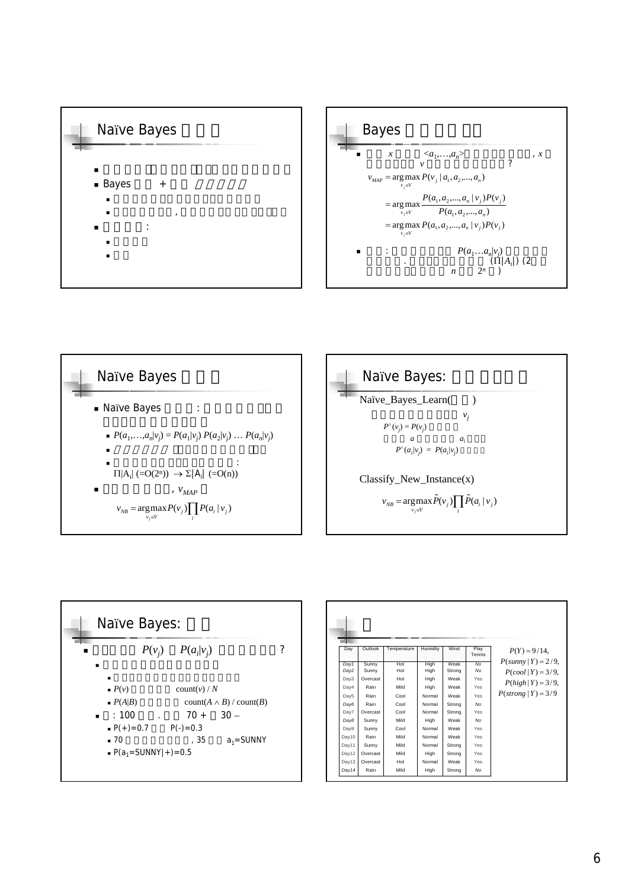









| Day   | Outlook  | Temperature | Humidity | Wind   | Play<br>Tennis | $P(Y) = 9/14$ ,              |
|-------|----------|-------------|----------|--------|----------------|------------------------------|
| Dav1  | Sunny    | Hot         | High     | Weak   | No             | $P(sunny   Y) = 2/9$ ,       |
| Day2  | Sunny    | Hot         | High     | Strong | No             | $P(cool   Y) = 3/9$ ,        |
| Dav3  | Overcast | Hot         | High     | Weak   | Yes            |                              |
| Day4  | Rain     | Mild        | High     | Weak   | Yes            | $P(high   Y) = 3/9$ ,        |
| Day5  | Rain     | Cool        | Normal   | Weak   | Yes            | $P(\text{strong}   Y) = 3/9$ |
| Day6  | Rain     | Cool        | Normal   | Strong | No             |                              |
| Day7  | Overcast | Cool        | Normal   | Strong | Yes            |                              |
| Day8  | Sunny    | Mild        | High     | Weak   | No             |                              |
| Dav9  | Sunny    | Cool        | Normal   | Weak   | Yes            |                              |
| Dav10 | Rain     | Mild        | Normal   | Weak   | Yes            |                              |
| Dav11 | Sunny    | Mild        | Normal   | Strong | Yes            |                              |
| Dav12 | Overcast | Mild        | High     | Strong | Yes            |                              |
| Dav13 | Overcast | Hot         | Normal   | Weak   | Yes            |                              |
| Day14 | Rain     | Mild        | High     | Strong | No             |                              |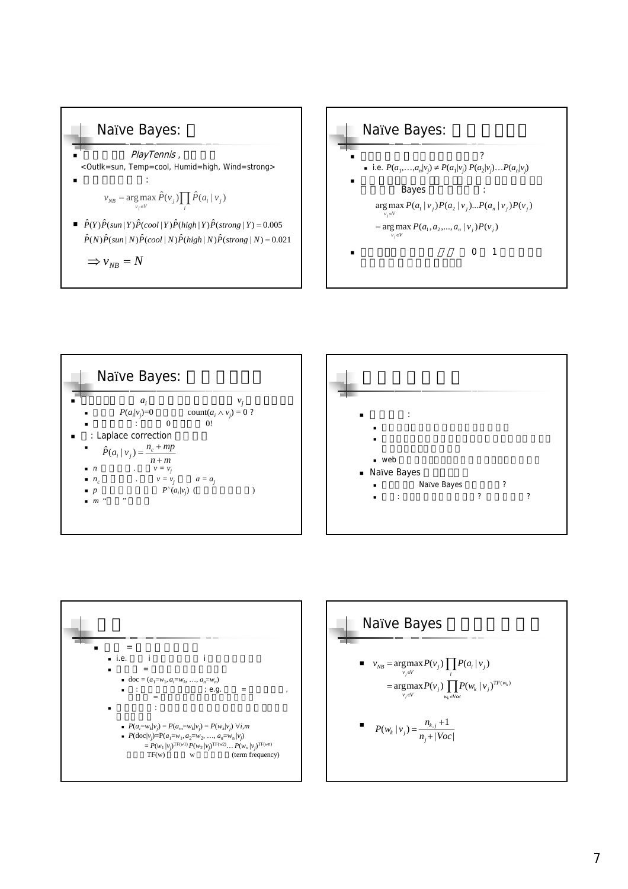## Naïve Bayes:

PlayTennis, <Outlk=sun, Temp=cool, Humid=high, Wind=strong> 計算したいのは:

$$
v_{NB} = \underset{v_j \in V}{\arg \max} \hat{P}(v_j) \prod_i \hat{P}(a_i | v_j)
$$

 $\hat{P}(Y) \hat{P}(\text{sun} | Y) \hat{P}(\text{cool} | Y) \hat{P}(\text{high} | Y) \hat{P}(\text{strong} | Y) = 0.005$  $\hat{P}(N)\hat{P}(sun|N)\hat{P}(cool|N)\hat{P}(high|N)\hat{P}(strong|N)=0.021$ 

 $\Rightarrow$   $v_{NB} = N$